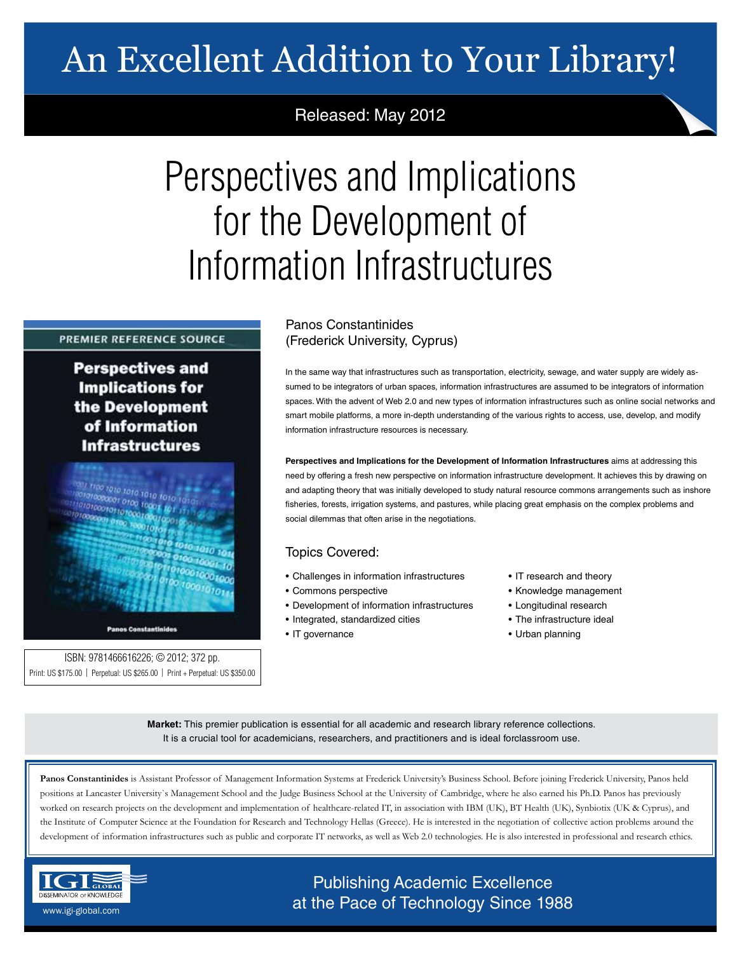## An Excellent Addition to Your Library!

## Released: May 2012

# Perspectives and Implications for the Development of Information Infrastructures

### **PREMIER REFERENCE SOURCE**

**Perspectives and Implications for** the Development of Information **Infrastructures** 



ISBN: 9781466616226; © 2012; 372 pp. Print: US \$175.00 | Perpetual: US \$265.00 | Print + Perpetual: US \$350.00

## Panos Constantinides (Frederick University, Cyprus)

In the same way that infrastructures such as transportation, electricity, sewage, and water supply are widely assumed to be integrators of urban spaces, information infrastructures are assumed to be integrators of information spaces. With the advent of Web 2.0 and new types of information infrastructures such as online social networks and smart mobile platforms, a more in-depth understanding of the various rights to access, use, develop, and modify information infrastructure resources is necessary.

**Perspectives and Implications for the Development of Information Infrastructures** aims at addressing this need by offering a fresh new perspective on information infrastructure development. It achieves this by drawing on and adapting theory that was initially developed to study natural resource commons arrangements such as inshore fisheries, forests, irrigation systems, and pastures, while placing great emphasis on the complex problems and social dilemmas that often arise in the negotiations.

## Topics Covered:

- Challenges in information infrastructures
- Commons perspective
- Development of information infrastructures
- Integrated, standardized cities
- IT governance
- IT research and theory
- Knowledge management
- Longitudinal research
- The infrastructure ideal
- Urban planning

**Market:** This premier publication is essential for all academic and research library reference collections. It is a crucial tool for academicians, researchers, and practitioners and is ideal forclassroom use.

**Panos Constantinides** is Assistant Professor of Management Information Systems at Frederick University's Business School. Before joining Frederick University, Panos held positions at Lancaster University`s Management School and the Judge Business School at the University of Cambridge, where he also earned his Ph.D. Panos has previously worked on research projects on the development and implementation of healthcare-related IT, in association with IBM (UK), BT Health (UK), Synbiotix (UK & Cyprus), and the Institute of Computer Science at the Foundation for Research and Technology Hellas (Greece). He is interested in the negotiation of collective action problems around the development of information infrastructures such as public and corporate IT networks, as well as Web 2.0 technologies. He is also interested in professional and research ethics.



## Publishing Academic Excellence **ALSEMINATOR OF KNOWLEDGE CONCEDUTE CONCEDUTE CONCEDUTE CONCEDUTE CONCEDUTE CONCEDUTE CONCEDUTE CONCEDUTE CONCE**